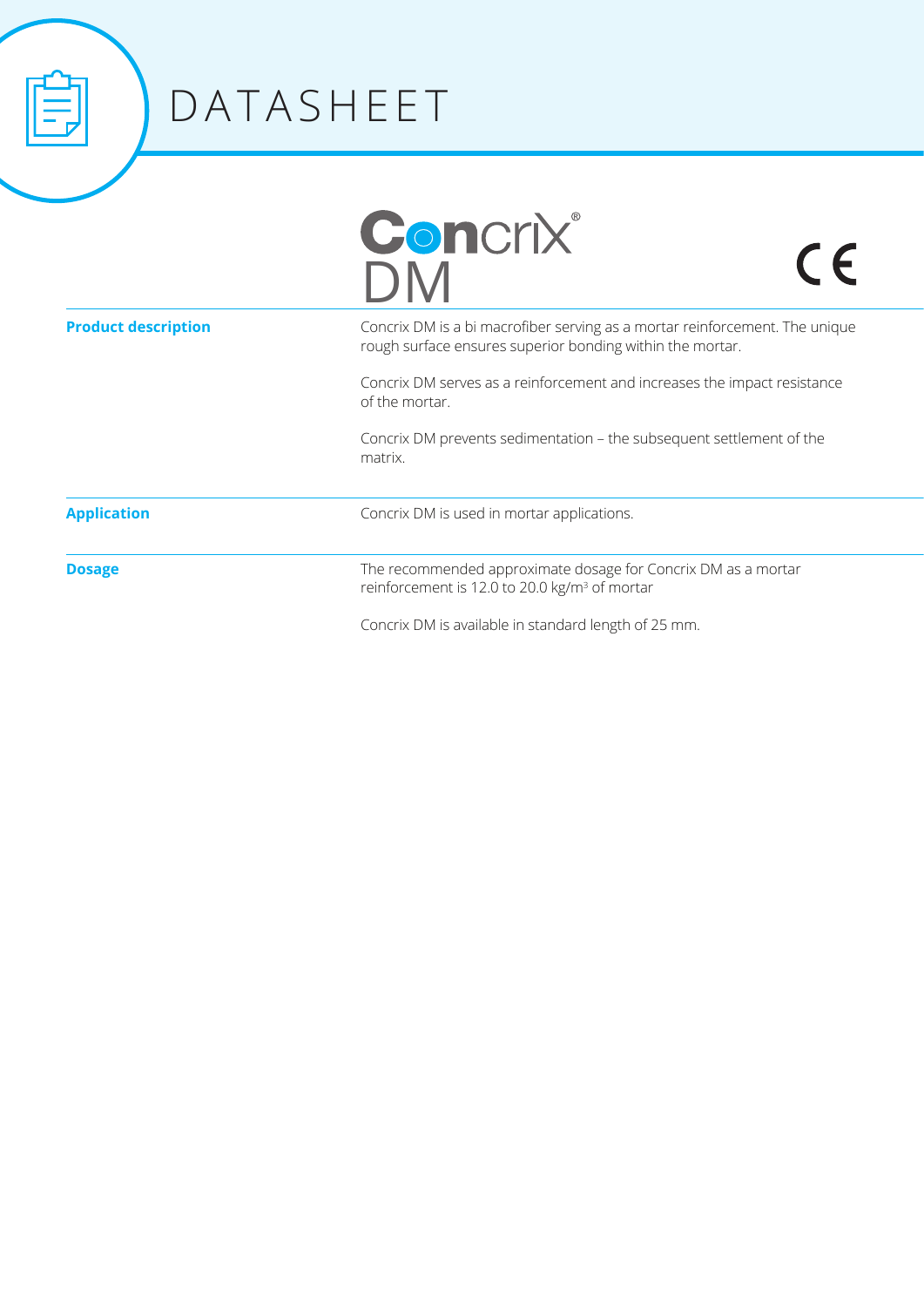

## DATASHEET

| <b>Concrix®</b> |
|-----------------|
| DM              |

 $C<sub>6</sub>$ 

| Concrix DM is a bi macrofiber serving as a mortar reinforcement. The unique<br>rough surface ensures superior bonding within the mortar. |
|------------------------------------------------------------------------------------------------------------------------------------------|
| Concrix DM serves as a reinforcement and increases the impact resistance                                                                 |

of the mortar.

Concrix DM prevents sedimentation - the subsequent settlement of the matrix. 

**Application**

**Product description**

**Dosage**

The recommended approximate dosage for Concrix DM as a mortar reinforcement is 12.0 to 20.0 kg/m<sup>3</sup> of mortar

Concrix DM is available in standard length of 25 mm.

Concrix DM is used in mortar applications.